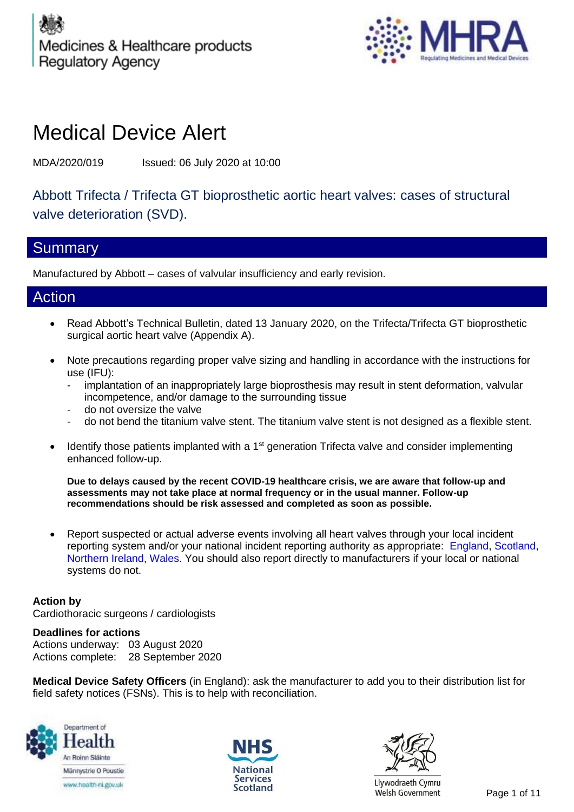

# Medical Device Alert

MDA/2020/019 Issued: 06 July 2020 at 10:00

Abbott Trifecta / Trifecta GT bioprosthetic aortic heart valves: cases of structural valve deterioration (SVD).

## Summary

Manufactured by Abbott – cases of valvular insufficiency and early revision.

## Action

- Read Abbott's Technical Bulletin, dated 13 January 2020, on the Trifecta/Trifecta GT bioprosthetic surgical aortic heart valve (Appendix A).
- Note precautions regarding proper valve sizing and handling in accordance with the instructions for use (IFU):
	- implantation of an inappropriately large bioprosthesis may result in stent deformation, valvular incompetence, and/or damage to the surrounding tissue
	- do not oversize the valve
	- do not bend the titanium valve stent. The titanium valve stent is not designed as a flexible stent.
- $\bullet$  Identify those patients implanted with a 1<sup>st</sup> generation Trifecta valve and consider implementing enhanced follow-up.

**Due to delays caused by the recent COVID-19 healthcare crisis, we are aware that follow-up and assessments may not take place at normal frequency or in the usual manner. Follow-up recommendations should be risk assessed and completed as soon as possible.**

• Report suspected or actual adverse events involving all heart valves through your local incident reporting system and/or your national incident reporting authority as appropriate: [England,](https://yellowcard.mhra.gov.uk/) [Scotland,](http://www.hfs.scot.nhs.uk/services/incident-reporting-and-investigation-centre-iric-1/how-to-report-an-adverse-incident/) [Northern Ireland,](https://www.health-ni.gov.uk/articles/reporting-adverse-incident) [Wales.](https://yellowcard.mhra.gov.uk/devices/?type=hcp) You should also report directly to manufacturers if your local or national systems do not.

### **Action by**

Cardiothoracic surgeons / cardiologists

### **Deadlines for actions**

Actions underway: 03 August 2020 Actions complete: 28 September 2020

**Medical Device Safety Officers** (in England): ask the manufacturer to add you to their distribution list for field safety notices (FSNs). This is to help with reconciliation.







Llywodraeth Cymru Scotland Elywouraeur Cymru<br>Welsh Government Page 1 of 11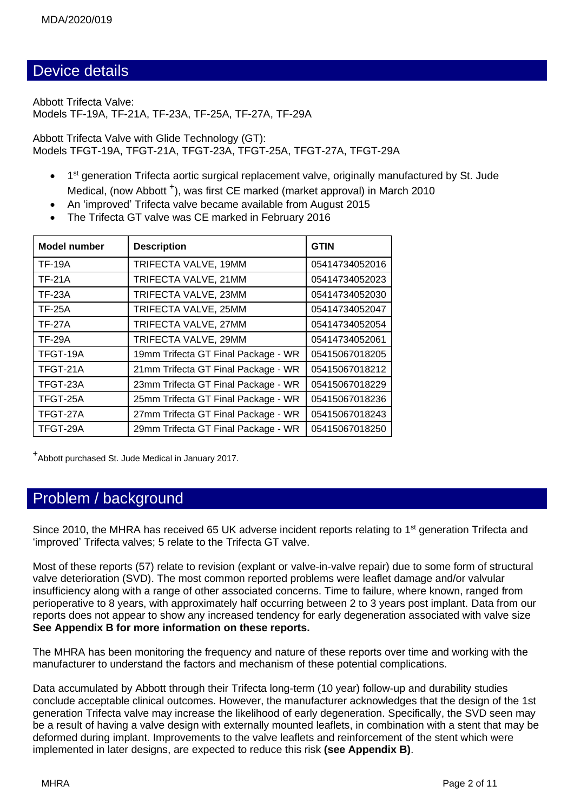## Device details

Abbott Trifecta Valve: Models TF-19A, TF-21A, TF-23A, TF-25A, TF-27A, TF-29A

Abbott Trifecta Valve with Glide Technology (GT): Models TFGT-19A, TFGT-21A, TFGT-23A, TFGT-25A, TFGT-27A, TFGT-29A

- 1<sup>st</sup> generation Trifecta aortic surgical replacement valve, originally manufactured by St. Jude Medical, (now Abbott<sup>+</sup>), was first CE marked (market approval) in March 2010
- An 'improved' Trifecta valve became available from August 2015
- The Trifecta GT valve was CE marked in February 2016

| <b>Model number</b> | <b>Description</b>                  | <b>GTIN</b>    |  |  |
|---------------------|-------------------------------------|----------------|--|--|
| <b>TF-19A</b>       | TRIFECTA VALVE, 19MM                | 05414734052016 |  |  |
| <b>TF-21A</b>       | TRIFECTA VALVE, 21MM                | 05414734052023 |  |  |
| <b>TF-23A</b>       | TRIFECTA VALVE, 23MM                | 05414734052030 |  |  |
| <b>TF-25A</b>       | TRIFECTA VALVE, 25MM                | 05414734052047 |  |  |
| <b>TF-27A</b>       | TRIFECTA VALVE, 27MM                | 05414734052054 |  |  |
| <b>TF-29A</b>       | TRIFECTA VALVE, 29MM                | 05414734052061 |  |  |
| TFGT-19A            | 19mm Trifecta GT Final Package - WR | 05415067018205 |  |  |
| TFGT-21A            | 21mm Trifecta GT Final Package - WR | 05415067018212 |  |  |
| TFGT-23A            | 23mm Trifecta GT Final Package - WR | 05415067018229 |  |  |
| TFGT-25A            | 25mm Trifecta GT Final Package - WR | 05415067018236 |  |  |
| TFGT-27A            | 27mm Trifecta GT Final Package - WR | 05415067018243 |  |  |
| TFGT-29A            | 29mm Trifecta GT Final Package - WR | 05415067018250 |  |  |

+ Abbott purchased St. Jude Medical in January 2017.

## Problem / background

Since 2010, the MHRA has received 65 UK adverse incident reports relating to 1<sup>st</sup> generation Trifecta and 'improved' Trifecta valves; 5 relate to the Trifecta GT valve.

Most of these reports (57) relate to revision (explant or valve-in-valve repair) due to some form of structural valve deterioration (SVD). The most common reported problems were leaflet damage and/or valvular insufficiency along with a range of other associated concerns. Time to failure, where known, ranged from perioperative to 8 years, with approximately half occurring between 2 to 3 years post implant. Data from our reports does not appear to show any increased tendency for early degeneration associated with valve size **See Appendix B for more information on these reports.**

The MHRA has been monitoring the frequency and nature of these reports over time and working with the manufacturer to understand the factors and mechanism of these potential complications.

Data accumulated by Abbott through their Trifecta long-term (10 year) follow-up and durability studies conclude acceptable clinical outcomes. However, the manufacturer acknowledges that the design of the 1st generation Trifecta valve may increase the likelihood of early degeneration. Specifically, the SVD seen may be a result of having a valve design with externally mounted leaflets, in combination with a stent that may be deformed during implant. Improvements to the valve leaflets and reinforcement of the stent which were implemented in later designs, are expected to reduce this risk **(see Appendix B)**.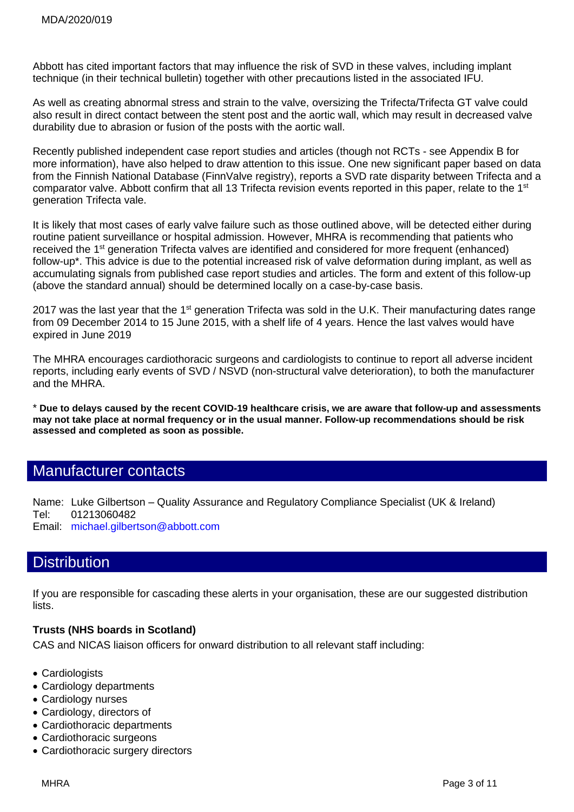Abbott has cited important factors that may influence the risk of SVD in these valves, including implant technique (in their technical bulletin) together with other precautions listed in the associated IFU.

As well as creating abnormal stress and strain to the valve, oversizing the Trifecta/Trifecta GT valve could also result in direct contact between the stent post and the aortic wall, which may result in decreased valve durability due to abrasion or fusion of the posts with the aortic wall.

Recently published independent case report studies and articles (though not RCTs - see Appendix B for more information), have also helped to draw attention to this issue. One new significant paper based on data from the Finnish National Database (FinnValve registry), reports a SVD rate disparity between Trifecta and a comparator valve. Abbott confirm that all 13 Trifecta revision events reported in this paper, relate to the 1<sup>st</sup> generation Trifecta vale.

It is likely that most cases of early valve failure such as those outlined above, will be detected either during routine patient surveillance or hospital admission. However, MHRA is recommending that patients who received the 1<sup>st</sup> generation Trifecta valves are identified and considered for more frequent (enhanced) follow-up\*. This advice is due to the potential increased risk of valve deformation during implant, as well as accumulating signals from published case report studies and articles. The form and extent of this follow-up (above the standard annual) should be determined locally on a case-by-case basis.

2017 was the last year that the 1<sup>st</sup> generation Trifecta was sold in the U.K. Their manufacturing dates range from 09 December 2014 to 15 June 2015, with a shelf life of 4 years. Hence the last valves would have expired in June 2019

The MHRA encourages cardiothoracic surgeons and cardiologists to continue to report all adverse incident reports, including early events of SVD / NSVD (non-structural valve deterioration), to both the manufacturer and the MHRA.

\* **Due to delays caused by the recent COVID-19 healthcare crisis, we are aware that follow-up and assessments may not take place at normal frequency or in the usual manner. Follow-up recommendations should be risk assessed and completed as soon as possible.**

## Manufacturer contacts

Name: Luke Gilbertson – Quality Assurance and Regulatory Compliance Specialist (UK & Ireland) Tel: 01213060482 Email: [michael.gilbertson@abbott.com](mailto:michael.gilbertson@abbott.com)

## **Distribution**

If you are responsible for cascading these alerts in your organisation, these are our suggested distribution lists.

#### **Trusts (NHS boards in Scotland)**

CAS and NICAS liaison officers for onward distribution to all relevant staff including:

- Cardiologists
- Cardiology departments
- Cardiology nurses
- Cardiology, directors of
- Cardiothoracic departments
- Cardiothoracic surgeons
- Cardiothoracic surgery directors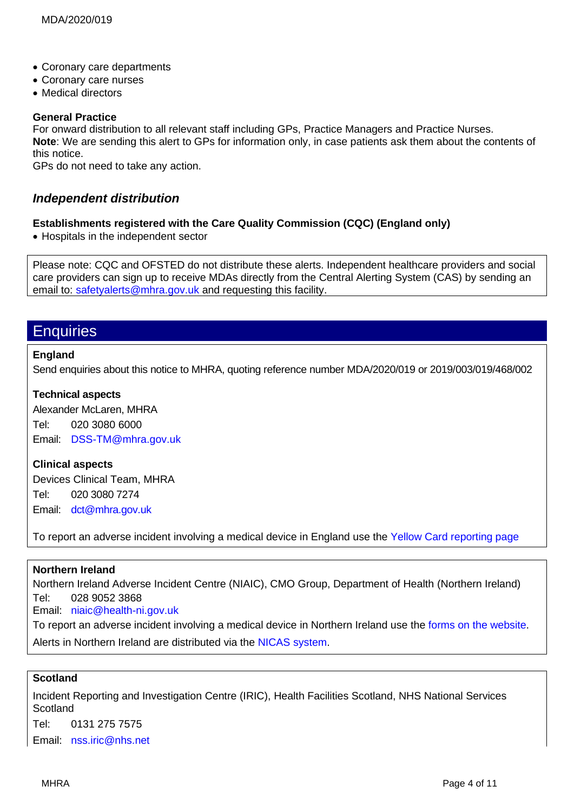- Coronary care departments
- Coronary care nurses
- Medical directors

#### **General Practice**

For onward distribution to all relevant staff including GPs, Practice Managers and Practice Nurses. **Note**: We are sending this alert to GPs for information only, in case patients ask them about the contents of this notice.

GPs do not need to take any action.

### *Independent distribution*

#### **Establishments registered with the Care Quality Commission (CQC) (England only)**

• Hospitals in the independent sector

Please note: CQC and OFSTED do not distribute these alerts. Independent healthcare providers and social care providers can sign up to receive MDAs directly from the Central Alerting System (CAS) by sending an email to: [safetyalerts@mhra.gov.uk](mailto:safetyalerts@mhra.gov.uk) and requesting this facility.

## **Enquiries**

#### **England**

Send enquiries about this notice to MHRA, quoting reference number MDA/2020/019 or 2019/003/019/468/002

#### **Technical aspects**

Alexander McLaren, MHRA Tel: 020 3080 6000 Email: [DSS-TM@mhra.gov.uk](mailto:DSS-TM@mhra.gov.uk)

#### **Clinical aspects**

Devices Clinical Team, MHRA Tel: 020 3080 7274 Email: [dct@mhra.gov.uk](mailto:dct@mhra.gov.uk)

To report an adverse incident involving a medical device in England use the [Yellow Card reporting page](https://yellowcard.mhra.gov.uk/devices/?type=hcp)

#### **Northern Ireland**

Northern Ireland Adverse Incident Centre (NIAIC), CMO Group, Department of Health (Northern Ireland) Tel: 028 9052 3868

Email: [niaic@health-ni.gov.uk](mailto:niaic@health-ni.gov.uk)

To report an adverse incident involving a medical device in Northern Ireland use the [forms on the](https://www.health-ni.gov.uk/articles/reporting-adverse-incident) website. Alerts in Northern Ireland are distributed via the [NICAS system.](https://applications.health-ni.gov.uk/NICAS/Public/Home.aspx)

#### **Scotland**

Incident Reporting and Investigation Centre (IRIC), Health Facilities Scotland, NHS National Services **Scotland** Tel: 0131 275 7575 Email: [nss.iric@nhs.net](mailto:nss.iric@nhs.net)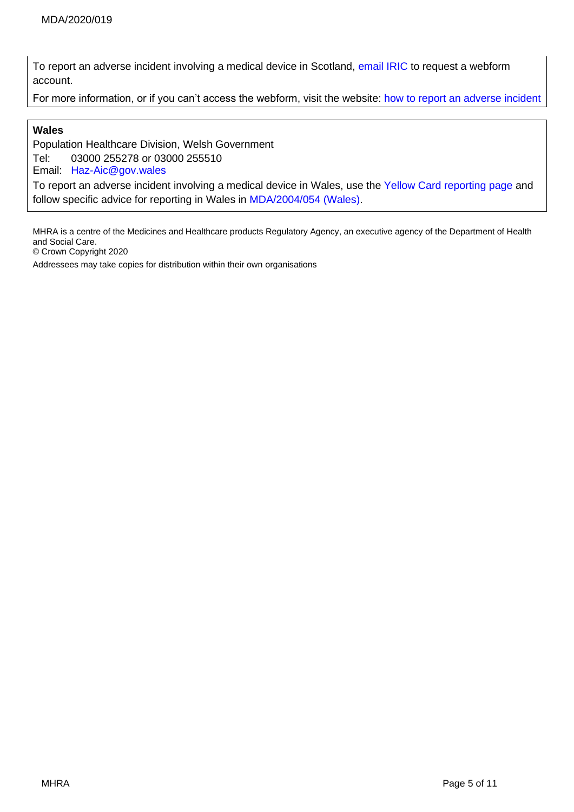To report an adverse incident involving a medical device in Scotland, [email IRIC](mailto:nss.iric@nhs.net?subject=Reporting%20adverse%20incidents:%20webform%20registration%20request) to request a webform account.

For more information, or if you can't access the webform, visit the website: [how to report an adverse incident](http://www.hfs.scot.nhs.uk/services/incident-reporting-and-investigation-centre-iric-1/how-to-report-an-adverse-incident/)

#### **Wales**

Population Healthcare Division, Welsh Government Tel: 03000 255278 or 03000 255510 Email: [Haz-Aic@gov.wales](mailto:Haz-Aic@gov.wales)

To report an adverse incident involving a medical device in Wales, use the [Yellow Card reporting page](https://yellowcard.mhra.gov.uk/devices/?type=hcp) and follow specific advice for reporting in Wales in [MDA/2004/054 \(Wales\).](https://urldefense.proofpoint.com/v2/url?u=http-3A__www.wales.nhs.uk_governance-2Demanual_reporting-2Dmedical-2Ddevice-2Dadverse-2Devents_&d=DwMGaQ&c=bXyEFqpHx20PVepeYtwgeyo6Hxa8iNFcGZACCQj1uNM&r=ypvYvk86IJ9zpb7JOLw8NAU7WCAQnufUFappZatlJrE&m=6Ag_yoXVY-4B6R0B7IKWD6RC-mobFB4ClYvvb_a87g8&s=McPkTlei5Miej2E9UNbHKdW2Troc-hJ6PP6Xom73w5A&e=)

MHRA is a centre of the Medicines and Healthcare products Regulatory Agency, an executive agency of the Department of Health and Social Care.

© Crown Copyright 2020

Addressees may take copies for distribution within their own organisations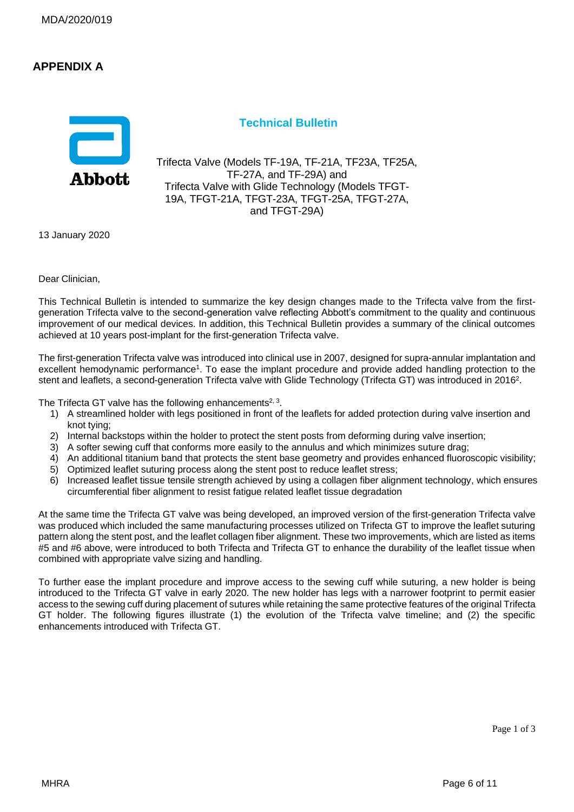### **APPENDIX A**



#### **Technical Bulletin**

Trifecta Valve (Models TF-19A, TF-21A, TF23A, TF25A, TF-27A, and TF-29A) and Trifecta Valve with Glide Technology (Models TFGT-19A, TFGT-21A, TFGT-23A, TFGT-25A, TFGT-27A, and TFGT-29A)

13 January 2020

Dear Clinician,

This Technical Bulletin is intended to summarize the key design changes made to the Trifecta valve from the firstgeneration Trifecta valve to the second-generation valve reflecting Abbott's commitment to the quality and continuous improvement of our medical devices. In addition, this Technical Bulletin provides a summary of the clinical outcomes achieved at 10 years post-implant for the first-generation Trifecta valve.

The first-generation Trifecta valve was introduced into clinical use in 2007, designed for supra-annular implantation and excellent hemodynamic performance<sup>1</sup>. To ease the implant procedure and provide added handling protection to the stent and leaflets, a second-generation Trifecta valve with Glide Technology (Trifecta GT) was introduced in 2016<sup>2</sup>.

The Trifecta GT valve has the following enhancements<sup>2, 3</sup>.

- 1) A streamlined holder with legs positioned in front of the leaflets for added protection during valve insertion and knot tying;
- 2) Internal backstops within the holder to protect the stent posts from deforming during valve insertion;
- 3) A softer sewing cuff that conforms more easily to the annulus and which minimizes suture drag;
- 4) An additional titanium band that protects the stent base geometry and provides enhanced fluoroscopic visibility;
- 5) Optimized leaflet suturing process along the stent post to reduce leaflet stress;
- 6) Increased leaflet tissue tensile strength achieved by using a collagen fiber alignment technology, which ensures circumferential fiber alignment to resist fatigue related leaflet tissue degradation

At the same time the Trifecta GT valve was being developed, an improved version of the first-generation Trifecta valve was produced which included the same manufacturing processes utilized on Trifecta GT to improve the leaflet suturing pattern along the stent post, and the leaflet collagen fiber alignment. These two improvements, which are listed as items #5 and #6 above, were introduced to both Trifecta and Trifecta GT to enhance the durability of the leaflet tissue when combined with appropriate valve sizing and handling.

To further ease the implant procedure and improve access to the sewing cuff while suturing, a new holder is being introduced to the Trifecta GT valve in early 2020. The new holder has legs with a narrower footprint to permit easier access to the sewing cuff during placement of sutures while retaining the same protective features of the original Trifecta GT holder. The following figures illustrate (1) the evolution of the Trifecta valve timeline; and (2) the specific enhancements introduced with Trifecta GT.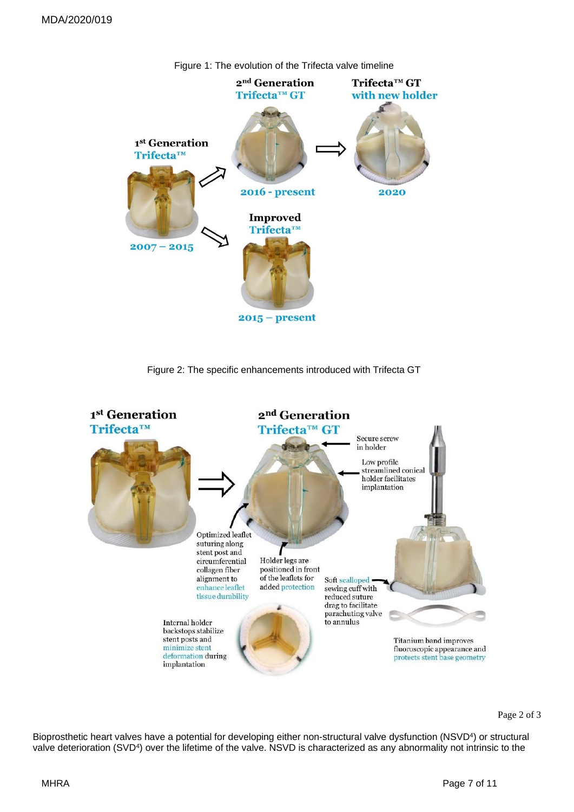

Figure 1: The evolution of the Trifecta valve timeline

Figure 2: The specific enhancements introduced with Trifecta GT



Bioprosthetic heart valves have a potential for developing either non-structural valve dysfunction (NSVD<sup>4</sup>) or structural valve deterioration (SVD<sup>4</sup>) over the lifetime of the valve. NSVD is characterized as any abnormality not intrinsic to the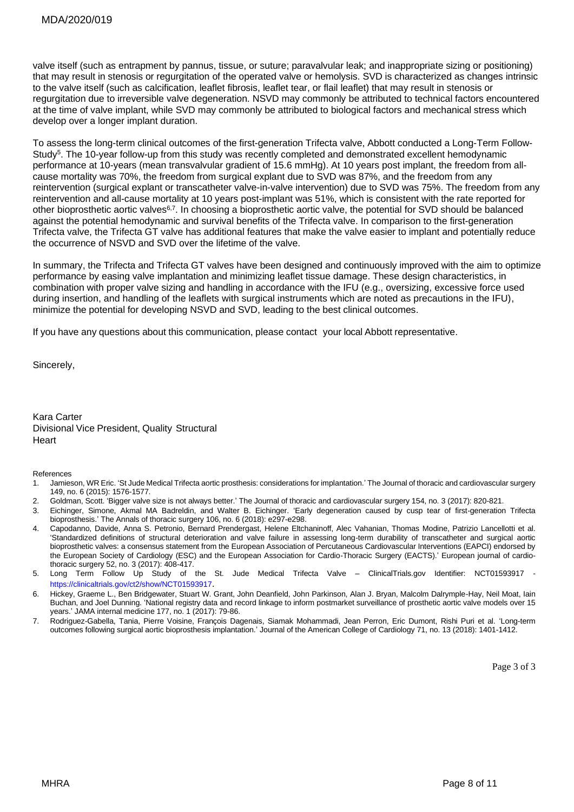valve itself (such as entrapment by pannus, tissue, or suture; paravalvular leak; and inappropriate sizing or positioning) that may result in stenosis or regurgitation of the operated valve or hemolysis. SVD is characterized as changes intrinsic to the valve itself (such as calcification, leaflet fibrosis, leaflet tear, or flail leaflet) that may result in stenosis or regurgitation due to irreversible valve degeneration. NSVD may commonly be attributed to technical factors encountered at the time of valve implant, while SVD may commonly be attributed to biological factors and mechanical stress which develop over a longer implant duration.

To assess the long-term clinical outcomes of the first-generation Trifecta valve, Abbott conducted a Long-Term Follow-Study<sup>5</sup>. The 10-year follow-up from this study was recently completed and demonstrated excellent hemodynamic performance at 10-years (mean transvalvular gradient of 15.6 mmHg). At 10 years post implant, the freedom from allcause mortality was 70%, the freedom from surgical explant due to SVD was 87%, and the freedom from any reintervention (surgical explant or transcatheter valve-in-valve intervention) due to SVD was 75%. The freedom from any reintervention and all-cause mortality at 10 years post-implant was 51%, which is consistent with the rate reported for other bioprosthetic aortic valves<sup>6,7</sup>. In choosing a bioprosthetic aortic valve, the potential for SVD should be balanced against the potential hemodynamic and survival benefits of the Trifecta valve. In comparison to the first-generation Trifecta valve, the Trifecta GT valve has additional features that make the valve easier to implant and potentially reduce the occurrence of NSVD and SVD over the lifetime of the valve.

In summary, the Trifecta and Trifecta GT valves have been designed and continuously improved with the aim to optimize performance by easing valve implantation and minimizing leaflet tissue damage. These design characteristics, in combination with proper valve sizing and handling in accordance with the IFU (e.g., oversizing, excessive force used during insertion, and handling of the leaflets with surgical instruments which are noted as precautions in the IFU), minimize the potential for developing NSVD and SVD, leading to the best clinical outcomes.

If you have any questions about this communication, please contact your local Abbott representative.

Sincerely,

Kara Carter Divisional Vice President, Quality Structural **Heart** 

#### References

- 1. Jamieson, WR Eric. 'St Jude Medical Trifecta aortic prosthesis: considerations for implantation.' The Journal of thoracic and cardiovascular surgery 149, no. 6 (2015): 1576-1577.
- 2. Goldman, Scott. 'Bigger valve size is not always better.' The Journal of thoracic and cardiovascular surgery 154, no. 3 (2017): 820-821.
- 3. Eichinger, Simone, Akmal MA Badreldin, and Walter B. Eichinger. 'Early degeneration caused by cusp tear of first-generation Trifecta bioprosthesis.' The Annals of thoracic surgery 106, no. 6 (2018): e297-e298.
- 4. Capodanno, Davide, Anna S. Petronio, Bernard Prendergast, Helene Eltchaninoff, Alec Vahanian, Thomas Modine, Patrizio Lancellotti et al. 'Standardized definitions of structural deterioration and valve failure in assessing long-term durability of transcatheter and surgical aortic bioprosthetic valves: a consensus statement from the European Association of Percutaneous Cardiovascular Interventions (EAPCI) endorsed by the European Society of Cardiology (ESC) and the European Association for Cardio-Thoracic Surgery (EACTS).' European journal of cardiothoracic surgery 52, no. 3 (2017): 408-417.
- 5. Long Term Follow Up Study of the St. Jude Medical Trifecta Valve ClinicalTrials.gov Identifier: NCT01593917 <https://clinicaltrials.gov/ct2/show/NCT01593917>.
- 6. Hickey, Graeme L., Ben Bridgewater, Stuart W. Grant, John Deanfield, John Parkinson, Alan J. Bryan, Malcolm Dalrymple-Hay, Neil Moat, Iain Buchan, and Joel Dunning. 'National registry data and record linkage to inform postmarket surveillance of prosthetic aortic valve models over 15 years.' JAMA internal medicine 177, no. 1 (2017): 79-86.
- 7. Rodriguez-Gabella, Tania, Pierre Voisine, François Dagenais, Siamak Mohammadi, Jean Perron, Eric Dumont, Rishi Puri et al. 'Long-term outcomes following surgical aortic bioprosthesis implantation.' Journal of the American College of Cardiology 71, no. 13 (2018): 1401-1412.

Page 3 of 3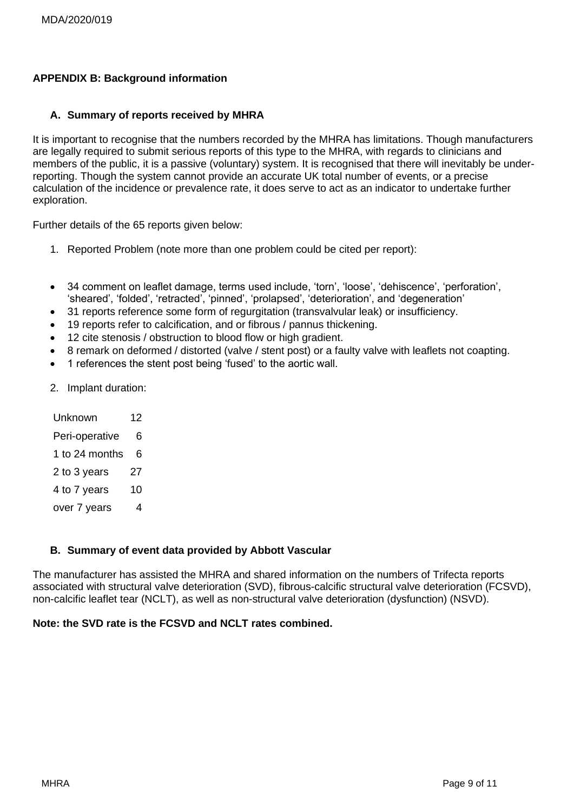#### **APPENDIX B: Background information**

#### **A. Summary of reports received by MHRA**

It is important to recognise that the numbers recorded by the MHRA has limitations. Though manufacturers are legally required to submit serious reports of this type to the MHRA, with regards to clinicians and members of the public, it is a passive (voluntary) system. It is recognised that there will inevitably be underreporting. Though the system cannot provide an accurate UK total number of events, or a precise calculation of the incidence or prevalence rate, it does serve to act as an indicator to undertake further exploration.

Further details of the 65 reports given below:

- 1. Reported Problem (note more than one problem could be cited per report):
- 34 comment on leaflet damage, terms used include, 'torn', 'loose', 'dehiscence', 'perforation', 'sheared', 'folded', 'retracted', 'pinned', 'prolapsed', 'deterioration', and 'degeneration'
- 31 reports reference some form of regurgitation (transvalvular leak) or insufficiency.
- 19 reports refer to calcification, and or fibrous / pannus thickening.
- 12 cite stenosis / obstruction to blood flow or high gradient.
- 8 remark on deformed / distorted (valve / stent post) or a faulty valve with leaflets not coapting.
- 1 references the stent post being 'fused' to the aortic wall.
- 2. Implant duration:

| Unknown        | 12 |
|----------------|----|
| Peri-operative | 6  |
| 1 to 24 months | 6  |
| 2 to 3 years   | 27 |
| 4 to 7 years   | 10 |
| over 7 years   | 4  |

#### **B. Summary of event data provided by Abbott Vascular**

The manufacturer has assisted the MHRA and shared information on the numbers of Trifecta reports associated with structural valve deterioration (SVD), fibrous-calcific structural valve deterioration (FCSVD), non-calcific leaflet tear (NCLT), as well as non-structural valve deterioration (dysfunction) (NSVD).

#### **Note: the SVD rate is the FCSVD and NCLT rates combined.**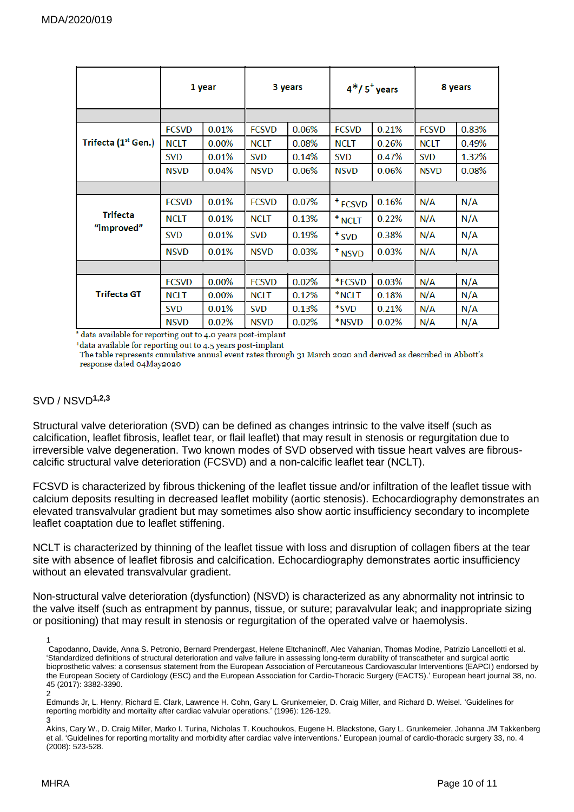|                               | 1 year       |       | 3 years      |       | $4*/5$ years       |       | 8 years      |       |
|-------------------------------|--------------|-------|--------------|-------|--------------------|-------|--------------|-------|
|                               |              |       |              |       |                    |       |              |       |
|                               | <b>FCSVD</b> | 0.01% | <b>FCSVD</b> | 0.06% | <b>FCSVD</b>       | 0.21% | <b>FCSVD</b> | 0.83% |
| Trifecta (1st Gen.)           | <b>NCLT</b>  | 0.00% | <b>NCLT</b>  | 0.08% | <b>NCLT</b>        | 0.26% | <b>NCLT</b>  | 0.49% |
|                               | <b>SVD</b>   | 0.01% | <b>SVD</b>   | 0.14% | <b>SVD</b>         | 0.47% | <b>SVD</b>   | 1.32% |
|                               | <b>NSVD</b>  | 0.04% | <b>NSVD</b>  | 0.06% | <b>NSVD</b>        | 0.06% | <b>NSVD</b>  | 0.08% |
|                               |              |       |              |       |                    |       |              |       |
| <b>Trifecta</b><br>"improved" | <b>FCSVD</b> | 0.01% | <b>FCSVD</b> | 0.07% | <sup>+</sup> FCSVD | 0.16% | N/A          | N/A   |
|                               | <b>NCLT</b>  | 0.01% | <b>NCLT</b>  | 0.13% | <sup>+</sup> NCLT  | 0.22% | N/A          | N/A   |
|                               | <b>SVD</b>   | 0.01% | <b>SVD</b>   | 0.19% | $*SVD$             | 0.38% | N/A          | N/A   |
|                               | <b>NSVD</b>  | 0.01% | <b>NSVD</b>  | 0.03% | <sup>+</sup> NSVD  | 0.03% | N/A          | N/A   |
|                               |              |       |              |       |                    |       |              |       |
| <b>Trifecta GT</b>            | <b>FCSVD</b> | 0.00% | <b>FCSVD</b> | 0.02% | *FCSVD             | 0.03% | N/A          | N/A   |
|                               | NCLT         | 0.00% | <b>NCLT</b>  | 0.12% | *NCLT              | 0.18% | N/A          | N/A   |
|                               | <b>SVD</b>   | 0.01% | <b>SVD</b>   | 0.13% | *SVD               | 0.21% | N/A          | N/A   |
|                               | <b>NSVD</b>  | 0.02% | <b>NSVD</b>  | 0.02% | *NSVD              | 0.02% | N/A          | N/A   |

\* data available for reporting out to 4.0 years post-implant

\*data available for reporting out to 4.5 years post-implant

The table represents cumulative annual event rates through 31 March 2020 and derived as described in Abbott's response dated 04May2020

#### SVD / NSVD**1,2,3**

Structural valve deterioration (SVD) can be defined as changes intrinsic to the valve itself (such as calcification, leaflet fibrosis, leaflet tear, or flail leaflet) that may result in stenosis or regurgitation due to irreversible valve degeneration. Two known modes of SVD observed with tissue heart valves are fibrouscalcific structural valve deterioration (FCSVD) and a non-calcific leaflet tear (NCLT).

FCSVD is characterized by fibrous thickening of the leaflet tissue and/or infiltration of the leaflet tissue with calcium deposits resulting in decreased leaflet mobility (aortic stenosis). Echocardiography demonstrates an elevated transvalvular gradient but may sometimes also show aortic insufficiency secondary to incomplete leaflet coaptation due to leaflet stiffening.

NCLT is characterized by thinning of the leaflet tissue with loss and disruption of collagen fibers at the tear site with absence of leaflet fibrosis and calcification. Echocardiography demonstrates aortic insufficiency without an elevated transvalvular gradient.

Non-structural valve deterioration (dysfunction) (NSVD) is characterized as any abnormality not intrinsic to the valve itself (such as entrapment by pannus, tissue, or suture; paravalvular leak; and inappropriate sizing or positioning) that may result in stenosis or regurgitation of the operated valve or haemolysis.

1 Capodanno, Davide, Anna S. Petronio, Bernard Prendergast, Helene Eltchaninoff, Alec Vahanian, Thomas Modine, Patrizio Lancellotti et al. 'Standardized definitions of structural deterioration and valve failure in assessing long-term durability of transcatheter and surgical aortic bioprosthetic valves: a consensus statement from the European Association of Percutaneous Cardiovascular Interventions (EAPCI) endorsed by the European Society of Cardiology (ESC) and the European Association for Cardio-Thoracic Surgery (EACTS).' European heart journal 38, no. 45 (2017): 3382-3390.

2 Edmunds Jr, L. Henry, Richard E. Clark, Lawrence H. Cohn, Gary L. Grunkemeier, D. Craig Miller, and Richard D. Weisel. 'Guidelines for reporting morbidity and mortality after cardiac valvular operations.' (1996): 126-129.

3

Akins, Cary W., D. Craig Miller, Marko I. Turina, Nicholas T. Kouchoukos, Eugene H. Blackstone, Gary L. Grunkemeier, Johanna JM Takkenberg et al. 'Guidelines for reporting mortality and morbidity after cardiac valve interventions.' European journal of cardio-thoracic surgery 33, no. 4 (2008): 523-528.